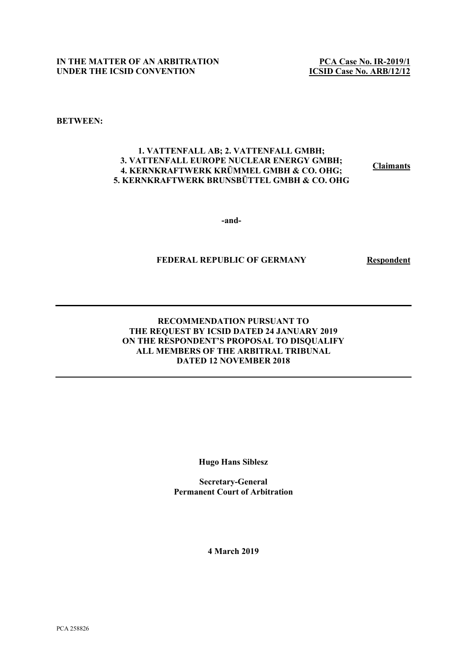**PCA Case No. IR-2019/1 ICSID Case No. ARB/12/12**

**BETWEEN:**

### **1. VATTENFALL AB; 2. VATTENFALL GMBH; 3. VATTENFALL EUROPE NUCLEAR ENERGY GMBH; 4. KERNKRAFTWERK KRÜMMEL GMBH & CO. OHG; 5. KERNKRAFTWERK BRUNSBÜTTEL GMBH & CO. OHG**

**Claimants** 

**-and-**

## **FEDERAL REPUBLIC OF GERMANY Respondent**

## **RECOMMENDATION PURSUANT TO THE REQUEST BY ICSID DATED 24 JANUARY 2019 ON THE RESPONDENT'S PROPOSAL TO DISQUALIFY ALL MEMBERS OF THE ARBITRAL TRIBUNAL DATED 12 NOVEMBER 2018**

**Hugo Hans Siblesz**

**Secretary-General Permanent Court of Arbitration**

**4 March 2019**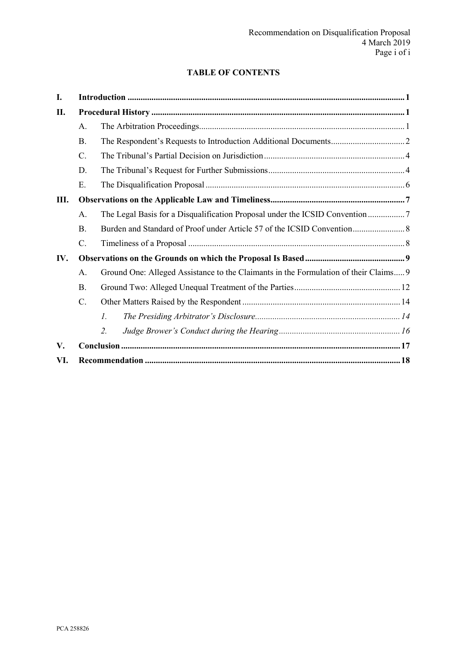# **TABLE OF CONTENTS**

| I.  |                 |                                                                                      |  |
|-----|-----------------|--------------------------------------------------------------------------------------|--|
| П.  |                 |                                                                                      |  |
|     | A.              |                                                                                      |  |
|     | <b>B.</b>       |                                                                                      |  |
|     | $C$ .           |                                                                                      |  |
|     | D.              |                                                                                      |  |
|     | Ε.              |                                                                                      |  |
| Ш.  |                 |                                                                                      |  |
|     | A.              |                                                                                      |  |
|     | <b>B</b> .      |                                                                                      |  |
|     | $\mathcal{C}$ . |                                                                                      |  |
| IV. |                 |                                                                                      |  |
|     | A.              | Ground One: Alleged Assistance to the Claimants in the Formulation of their Claims 9 |  |
|     | <b>B</b> .      |                                                                                      |  |
|     | $C$ .           |                                                                                      |  |
|     |                 | 1.                                                                                   |  |
|     |                 | 2.                                                                                   |  |
| V.  |                 |                                                                                      |  |
| VI. |                 |                                                                                      |  |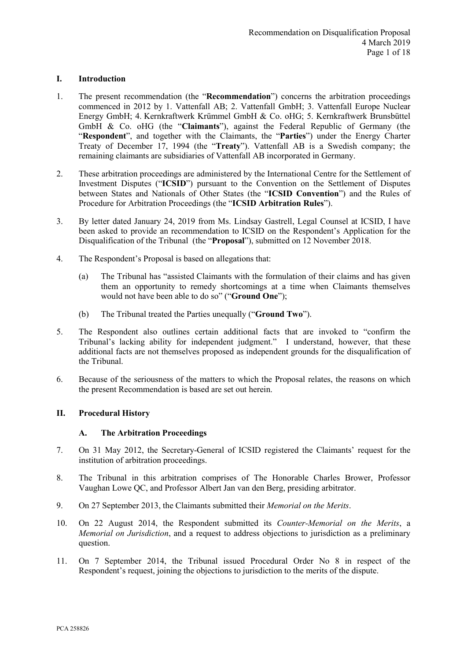## <span id="page-2-0"></span>**I. Introduction**

- 1. The present recommendation (the "**Recommendation**") concerns the arbitration proceedings commenced in 2012 by 1. Vattenfall AB; 2. Vattenfall GmbH; 3. Vattenfall Europe Nuclear Energy GmbH; 4. Kernkraftwerk Krümmel GmbH & Co. oHG; 5. Kernkraftwerk Brunsbüttel GmbH & Co. oHG (the "**Claimants**"), against the Federal Republic of Germany (the "**Respondent**", and together with the Claimants, the "**Parties**") under the Energy Charter Treaty of December 17, 1994 (the "**Treaty**"). Vattenfall AB is a Swedish company; the remaining claimants are subsidiaries of Vattenfall AB incorporated in Germany.
- 2. These arbitration proceedings are administered by the International Centre for the Settlement of Investment Disputes ("**ICSID**") pursuant to the Convention on the Settlement of Disputes between States and Nationals of Other States (the "**ICSID Convention**") and the Rules of Procedure for Arbitration Proceedings (the "**ICSID Arbitration Rules**").
- 3. By letter dated January 24, 2019 from Ms. Lindsay Gastrell, Legal Counsel at ICSID, I have been asked to provide an recommendation to ICSID on the Respondent's Application for the Disqualification of the Tribunal (the "**Proposal**"), submitted on 12 November 2018.
- 4. The Respondent's Proposal is based on allegations that:
	- (a) The Tribunal has "assisted Claimants with the formulation of their claims and has given them an opportunity to remedy shortcomings at a time when Claimants themselves would not have been able to do so" ("**Ground One**");
	- (b) The Tribunal treated the Parties unequally ("**Ground Two**").
- 5. The Respondent also outlines certain additional facts that are invoked to "confirm the Tribunal's lacking ability for independent judgment." I understand, however, that these additional facts are not themselves proposed as independent grounds for the disqualification of the Tribunal.
- 6. Because of the seriousness of the matters to which the Proposal relates, the reasons on which the present Recommendation is based are set out herein.

# <span id="page-2-2"></span><span id="page-2-1"></span>**II. Procedural History**

## **A. The Arbitration Proceedings**

- 7. On 31 May 2012, the Secretary-General of ICSID registered the Claimants' request for the institution of arbitration proceedings.
- 8. The Tribunal in this arbitration comprises of The Honorable Charles Brower, Professor Vaughan Lowe QC, and Professor Albert Jan van den Berg, presiding arbitrator.
- 9. On 27 September 2013, the Claimants submitted their *Memorial on the Merits*.
- 10. On 22 August 2014, the Respondent submitted its *Counter-Memorial on the Merits*, a *Memorial on Jurisdiction*, and a request to address objections to jurisdiction as a preliminary question.
- 11. On 7 September 2014, the Tribunal issued Procedural Order No 8 in respect of the Respondent's request, joining the objections to jurisdiction to the merits of the dispute.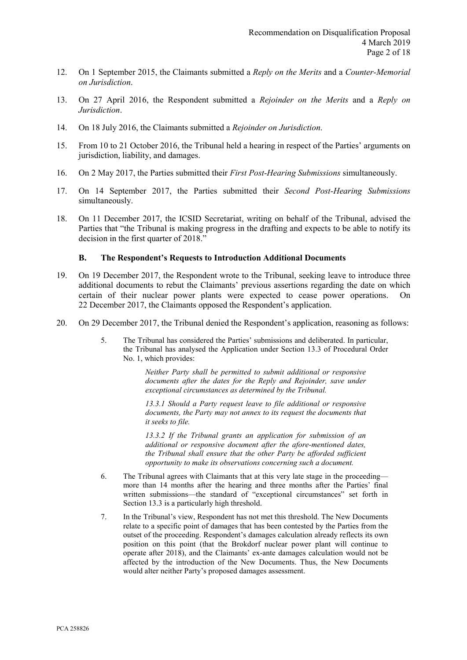- 12. On 1 September 2015, the Claimants submitted a *Reply on the Merits* and a *Counter-Memorial on Jurisdiction*.
- 13. On 27 April 2016, the Respondent submitted a *Rejoinder on the Merits* and a *Reply on Jurisdiction*.
- 14. On 18 July 2016, the Claimants submitted a *Rejoinder on Jurisdiction*.
- 15. From 10 to 21 October 2016, the Tribunal held a hearing in respect of the Parties' arguments on jurisdiction, liability, and damages.
- 16. On 2 May 2017, the Parties submitted their *First Post-Hearing Submissions* simultaneously.
- 17. On 14 September 2017, the Parties submitted their *Second Post-Hearing Submissions* simultaneously.
- 18. On 11 December 2017, the ICSID Secretariat, writing on behalf of the Tribunal, advised the Parties that "the Tribunal is making progress in the drafting and expects to be able to notify its decision in the first quarter of 2018."

### **B. The Respondent's Requests to Introduction Additional Documents**

- <span id="page-3-0"></span>19. On 19 December 2017, the Respondent wrote to the Tribunal, seeking leave to introduce three additional documents to rebut the Claimants' previous assertions regarding the date on which certain of their nuclear power plants were expected to cease power operations. On 22 December 2017, the Claimants opposed the Respondent's application.
- 20. On 29 December 2017, the Tribunal denied the Respondent's application, reasoning as follows:
	- 5. The Tribunal has considered the Parties' submissions and deliberated. In particular, the Tribunal has analysed the Application under Section 13.3 of Procedural Order No. 1, which provides:

*Neither Party shall be permitted to submit additional or responsive documents after the dates for the Reply and Rejoinder, save under exceptional circumstances as determined by the Tribunal.* 

*13.3.1 Should a Party request leave to file additional or responsive documents, the Party may not annex to its request the documents that it seeks to file.* 

*13.3.2 If the Tribunal grants an application for submission of an additional or responsive document after the afore-mentioned dates, the Tribunal shall ensure that the other Party be afforded sufficient opportunity to make its observations concerning such a document.* 

- 6. The Tribunal agrees with Claimants that at this very late stage in the proceeding more than 14 months after the hearing and three months after the Parties' final written submissions—the standard of "exceptional circumstances" set forth in Section 13.3 is a particularly high threshold.
- 7. In the Tribunal's view, Respondent has not met this threshold. The New Documents relate to a specific point of damages that has been contested by the Parties from the outset of the proceeding. Respondent's damages calculation already reflects its own position on this point (that the Brokdorf nuclear power plant will continue to operate after 2018), and the Claimants' ex-ante damages calculation would not be affected by the introduction of the New Documents. Thus, the New Documents would alter neither Party's proposed damages assessment.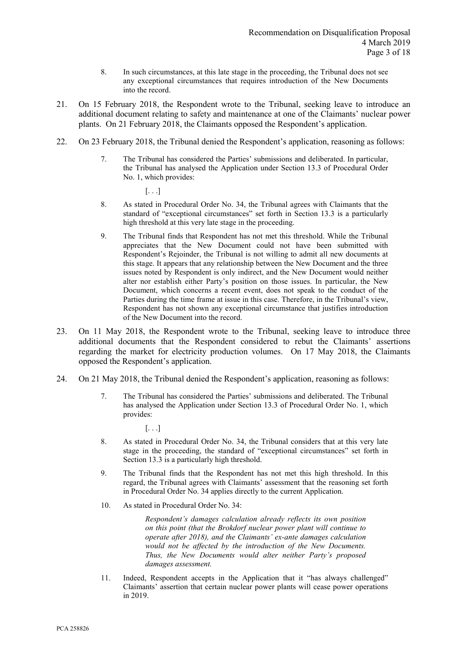- 8. In such circumstances, at this late stage in the proceeding, the Tribunal does not see any exceptional circumstances that requires introduction of the New Documents into the record.
- 21. On 15 February 2018, the Respondent wrote to the Tribunal, seeking leave to introduce an additional document relating to safety and maintenance at one of the Claimants' nuclear power plants. On 21 February 2018, the Claimants opposed the Respondent's application.
- 22. On 23 February 2018, the Tribunal denied the Respondent's application, reasoning as follows:
	- 7. The Tribunal has considered the Parties' submissions and deliberated. In particular, the Tribunal has analysed the Application under Section 13.3 of Procedural Order No. 1, which provides:
		- $\left[\ldots\right]$
	- 8. As stated in Procedural Order No. 34, the Tribunal agrees with Claimants that the standard of "exceptional circumstances" set forth in Section 13.3 is a particularly high threshold at this very late stage in the proceeding.
	- 9. The Tribunal finds that Respondent has not met this threshold. While the Tribunal appreciates that the New Document could not have been submitted with Respondent's Rejoinder, the Tribunal is not willing to admit all new documents at this stage. It appears that any relationship between the New Document and the three issues noted by Respondent is only indirect, and the New Document would neither alter nor establish either Party's position on those issues. In particular, the New Document, which concerns a recent event, does not speak to the conduct of the Parties during the time frame at issue in this case. Therefore, in the Tribunal's view, Respondent has not shown any exceptional circumstance that justifies introduction of the New Document into the record.
- 23. On 11 May 2018, the Respondent wrote to the Tribunal, seeking leave to introduce three additional documents that the Respondent considered to rebut the Claimants' assertions regarding the market for electricity production volumes. On 17 May 2018, the Claimants opposed the Respondent's application.
- 24. On 21 May 2018, the Tribunal denied the Respondent's application, reasoning as follows:
	- 7. The Tribunal has considered the Parties' submissions and deliberated. The Tribunal has analysed the Application under Section 13.3 of Procedural Order No. 1, which provides:
		- [. . .]
	- 8. As stated in Procedural Order No. 34, the Tribunal considers that at this very late stage in the proceeding, the standard of "exceptional circumstances" set forth in Section 13.3 is a particularly high threshold.
	- 9. The Tribunal finds that the Respondent has not met this high threshold. In this regard, the Tribunal agrees with Claimants' assessment that the reasoning set forth in Procedural Order No. 34 applies directly to the current Application.
	- 10. As stated in Procedural Order No. 34:

*Respondent's damages calculation already reflects its own position on this point (that the Brokdorf nuclear power plant will continue to operate after 2018), and the Claimants' ex-ante damages calculation would not be affected by the introduction of the New Documents. Thus, the New Documents would alter neither Party's proposed damages assessment.* 

11. Indeed, Respondent accepts in the Application that it "has always challenged" Claimants' assertion that certain nuclear power plants will cease power operations in 2019.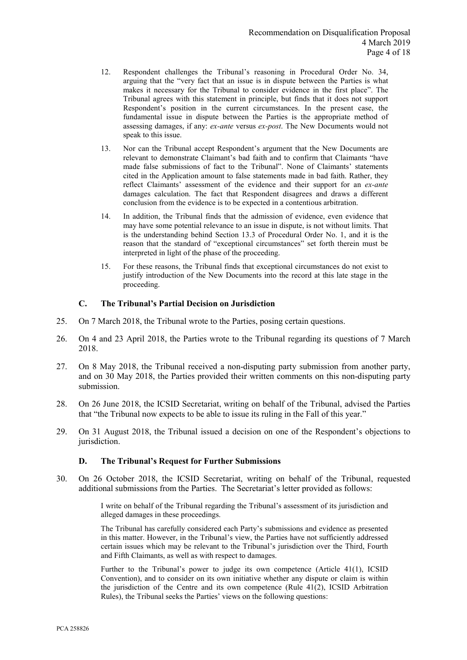- 12. Respondent challenges the Tribunal's reasoning in Procedural Order No. 34, arguing that the "very fact that an issue is in dispute between the Parties is what makes it necessary for the Tribunal to consider evidence in the first place". The Tribunal agrees with this statement in principle, but finds that it does not support Respondent's position in the current circumstances. In the present case, the fundamental issue in dispute between the Parties is the appropriate method of assessing damages, if any: *ex-ante* versus *ex-post*. The New Documents would not speak to this issue.
- 13. Nor can the Tribunal accept Respondent's argument that the New Documents are relevant to demonstrate Claimant's bad faith and to confirm that Claimants "have made false submissions of fact to the Tribunal". None of Claimants' statements cited in the Application amount to false statements made in bad faith. Rather, they reflect Claimants' assessment of the evidence and their support for an *ex-ante* damages calculation. The fact that Respondent disagrees and draws a different conclusion from the evidence is to be expected in a contentious arbitration.
- 14. In addition, the Tribunal finds that the admission of evidence, even evidence that may have some potential relevance to an issue in dispute, is not without limits. That is the understanding behind Section 13.3 of Procedural Order No. 1, and it is the reason that the standard of "exceptional circumstances" set forth therein must be interpreted in light of the phase of the proceeding.
- 15. For these reasons, the Tribunal finds that exceptional circumstances do not exist to justify introduction of the New Documents into the record at this late stage in the proceeding.

### **C. The Tribunal's Partial Decision on Jurisdiction**

- <span id="page-5-0"></span>25. On 7 March 2018, the Tribunal wrote to the Parties, posing certain questions.
- 26. On 4 and 23 April 2018, the Parties wrote to the Tribunal regarding its questions of 7 March 2018.
- 27. On 8 May 2018, the Tribunal received a non-disputing party submission from another party, and on 30 May 2018, the Parties provided their written comments on this non-disputing party submission.
- 28. On 26 June 2018, the ICSID Secretariat, writing on behalf of the Tribunal, advised the Parties that "the Tribunal now expects to be able to issue its ruling in the Fall of this year."
- 29. On 31 August 2018, the Tribunal issued a decision on one of the Respondent's objections to jurisdiction.

### **D. The Tribunal's Request for Further Submissions**

<span id="page-5-1"></span>30. On 26 October 2018, the ICSID Secretariat, writing on behalf of the Tribunal, requested additional submissions from the Parties. The Secretariat's letter provided as follows:

> I write on behalf of the Tribunal regarding the Tribunal's assessment of its jurisdiction and alleged damages in these proceedings.

> The Tribunal has carefully considered each Party's submissions and evidence as presented in this matter. However, in the Tribunal's view, the Parties have not sufficiently addressed certain issues which may be relevant to the Tribunal's jurisdiction over the Third, Fourth and Fifth Claimants, as well as with respect to damages.

> Further to the Tribunal's power to judge its own competence (Article 41(1), ICSID Convention), and to consider on its own initiative whether any dispute or claim is within the jurisdiction of the Centre and its own competence (Rule 41(2), ICSID Arbitration Rules), the Tribunal seeks the Parties' views on the following questions: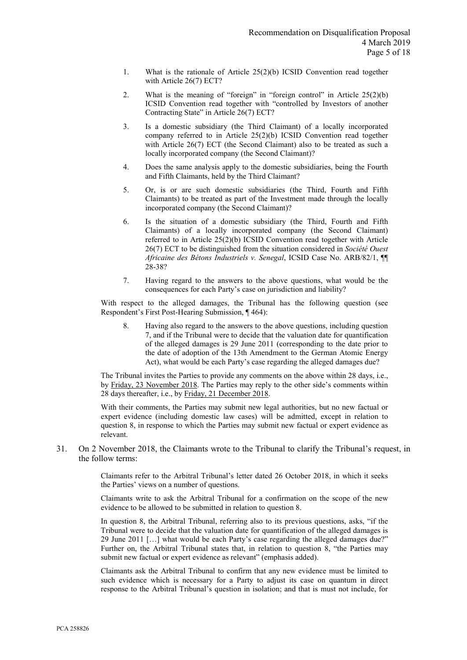- 1. What is the rationale of Article 25(2)(b) ICSID Convention read together with Article 26(7) ECT?
- 2. What is the meaning of "foreign" in "foreign control" in Article 25(2)(b) ICSID Convention read together with "controlled by Investors of another Contracting State" in Article 26(7) ECT?
- 3. Is a domestic subsidiary (the Third Claimant) of a locally incorporated company referred to in Article 25(2)(b) ICSID Convention read together with Article 26(7) ECT (the Second Claimant) also to be treated as such a locally incorporated company (the Second Claimant)?
- 4. Does the same analysis apply to the domestic subsidiaries, being the Fourth and Fifth Claimants, held by the Third Claimant?
- 5. Or, is or are such domestic subsidiaries (the Third, Fourth and Fifth Claimants) to be treated as part of the Investment made through the locally incorporated company (the Second Claimant)?
- 6. Is the situation of a domestic subsidiary (the Third, Fourth and Fifth Claimants) of a locally incorporated company (the Second Claimant) referred to in Article 25(2)(b) ICSID Convention read together with Article 26(7) ECT to be distinguished from the situation considered in *Société Ouest Africaine des Bétons Industriels v. Senegal*, ICSID Case No. ARB/82/1, ¶¶ 28-38?
- 7. Having regard to the answers to the above questions, what would be the consequences for each Party's case on jurisdiction and liability?

With respect to the alleged damages, the Tribunal has the following question (see Respondent's First Post-Hearing Submission, ¶ 464):

8. Having also regard to the answers to the above questions, including question 7, and if the Tribunal were to decide that the valuation date for quantification of the alleged damages is 29 June 2011 (corresponding to the date prior to the date of adoption of the 13th Amendment to the German Atomic Energy Act), what would be each Party's case regarding the alleged damages due?

The Tribunal invites the Parties to provide any comments on the above within 28 days, i.e., by Friday, 23 November 2018. The Parties may reply to the other side's comments within 28 days thereafter, i.e., by Friday, 21 December 2018.

With their comments, the Parties may submit new legal authorities, but no new factual or expert evidence (including domestic law cases) will be admitted, except in relation to question 8, in response to which the Parties may submit new factual or expert evidence as relevant.

31. On 2 November 2018, the Claimants wrote to the Tribunal to clarify the Tribunal's request, in the follow terms:

> Claimants refer to the Arbitral Tribunal's letter dated 26 October 2018, in which it seeks the Parties' views on a number of questions.

> Claimants write to ask the Arbitral Tribunal for a confirmation on the scope of the new evidence to be allowed to be submitted in relation to question 8.

> In question 8, the Arbitral Tribunal, referring also to its previous questions, asks, "if the Tribunal were to decide that the valuation date for quantification of the alleged damages is 29 June 2011 […] what would be each Party's case regarding the alleged damages due?" Further on, the Arbitral Tribunal states that, in relation to question 8, "the Parties may submit new factual or expert evidence as relevant" (emphasis added).

> Claimants ask the Arbitral Tribunal to confirm that any new evidence must be limited to such evidence which is necessary for a Party to adjust its case on quantum in direct response to the Arbitral Tribunal's question in isolation; and that is must not include, for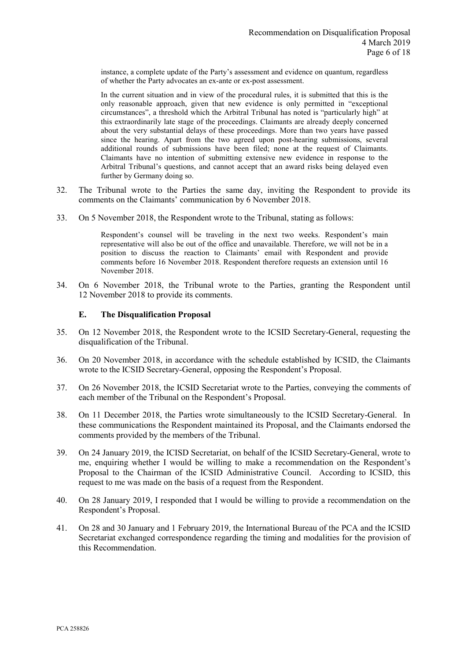instance, a complete update of the Party's assessment and evidence on quantum, regardless of whether the Party advocates an ex-ante or ex-post assessment.

In the current situation and in view of the procedural rules, it is submitted that this is the only reasonable approach, given that new evidence is only permitted in "exceptional circumstances", a threshold which the Arbitral Tribunal has noted is "particularly high" at this extraordinarily late stage of the proceedings. Claimants are already deeply concerned about the very substantial delays of these proceedings. More than two years have passed since the hearing. Apart from the two agreed upon post-hearing submissions, several additional rounds of submissions have been filed; none at the request of Claimants. Claimants have no intention of submitting extensive new evidence in response to the Arbitral Tribunal's questions, and cannot accept that an award risks being delayed even further by Germany doing so.

- 32. The Tribunal wrote to the Parties the same day, inviting the Respondent to provide its comments on the Claimants' communication by 6 November 2018.
- 33. On 5 November 2018, the Respondent wrote to the Tribunal, stating as follows:

Respondent's counsel will be traveling in the next two weeks. Respondent's main representative will also be out of the office and unavailable. Therefore, we will not be in a position to discuss the reaction to Claimants' email with Respondent and provide comments before 16 November 2018. Respondent therefore requests an extension until 16 November 2018.

34. On 6 November 2018, the Tribunal wrote to the Parties, granting the Respondent until 12 November 2018 to provide its comments.

### **E. The Disqualification Proposal**

- <span id="page-7-0"></span>35. On 12 November 2018, the Respondent wrote to the ICSID Secretary-General, requesting the disqualification of the Tribunal.
- 36. On 20 November 2018, in accordance with the schedule established by ICSID, the Claimants wrote to the ICSID Secretary-General, opposing the Respondent's Proposal.
- 37. On 26 November 2018, the ICSID Secretariat wrote to the Parties, conveying the comments of each member of the Tribunal on the Respondent's Proposal.
- 38. On 11 December 2018, the Parties wrote simultaneously to the ICSID Secretary-General. In these communications the Respondent maintained its Proposal, and the Claimants endorsed the comments provided by the members of the Tribunal.
- 39. On 24 January 2019, the ICISD Secretariat, on behalf of the ICSID Secretary-General, wrote to me, enquiring whether I would be willing to make a recommendation on the Respondent's Proposal to the Chairman of the ICSID Administrative Council. According to ICSID, this request to me was made on the basis of a request from the Respondent.
- 40. On 28 January 2019, I responded that I would be willing to provide a recommendation on the Respondent's Proposal.
- 41. On 28 and 30 January and 1 February 2019, the International Bureau of the PCA and the ICSID Secretariat exchanged correspondence regarding the timing and modalities for the provision of this Recommendation.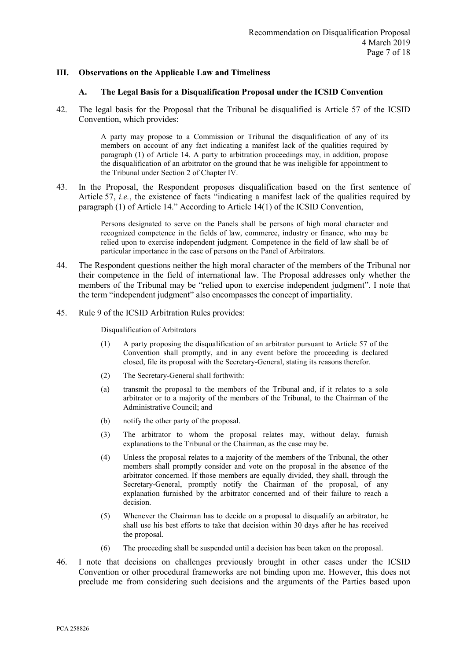### <span id="page-8-1"></span><span id="page-8-0"></span>**III. Observations on the Applicable Law and Timeliness**

#### **A. The Legal Basis for a Disqualification Proposal under the ICSID Convention**

42. The legal basis for the Proposal that the Tribunal be disqualified is Article 57 of the ICSID Convention, which provides:

> A party may propose to a Commission or Tribunal the disqualification of any of its members on account of any fact indicating a manifest lack of the qualities required by paragraph (1) of Article 14. A party to arbitration proceedings may, in addition, propose the disqualification of an arbitrator on the ground that he was ineligible for appointment to the Tribunal under Section 2 of Chapter IV.

43. In the Proposal, the Respondent proposes disqualification based on the first sentence of Article 57, *i.e.*, the existence of facts "indicating a manifest lack of the qualities required by paragraph (1) of Article 14." According to Article 14(1) of the ICSID Convention,

> Persons designated to serve on the Panels shall be persons of high moral character and recognized competence in the fields of law, commerce, industry or finance, who may be relied upon to exercise independent judgment. Competence in the field of law shall be of particular importance in the case of persons on the Panel of Arbitrators.

- 44. The Respondent questions neither the high moral character of the members of the Tribunal nor their competence in the field of international law. The Proposal addresses only whether the members of the Tribunal may be "relied upon to exercise independent judgment". I note that the term "independent judgment" also encompasses the concept of impartiality.
- 45. Rule 9 of the ICSID Arbitration Rules provides:

Disqualification of Arbitrators

- (1) A party proposing the disqualification of an arbitrator pursuant to Article 57 of the Convention shall promptly, and in any event before the proceeding is declared closed, file its proposal with the Secretary-General, stating its reasons therefor.
- (2) The Secretary-General shall forthwith:
- (a) transmit the proposal to the members of the Tribunal and, if it relates to a sole arbitrator or to a majority of the members of the Tribunal, to the Chairman of the Administrative Council; and
- (b) notify the other party of the proposal.
- (3) The arbitrator to whom the proposal relates may, without delay, furnish explanations to the Tribunal or the Chairman, as the case may be.
- (4) Unless the proposal relates to a majority of the members of the Tribunal, the other members shall promptly consider and vote on the proposal in the absence of the arbitrator concerned. If those members are equally divided, they shall, through the Secretary-General, promptly notify the Chairman of the proposal, of any explanation furnished by the arbitrator concerned and of their failure to reach a decision.
- (5) Whenever the Chairman has to decide on a proposal to disqualify an arbitrator, he shall use his best efforts to take that decision within 30 days after he has received the proposal.
- (6) The proceeding shall be suspended until a decision has been taken on the proposal.
- 46. I note that decisions on challenges previously brought in other cases under the ICSID Convention or other procedural frameworks are not binding upon me. However, this does not preclude me from considering such decisions and the arguments of the Parties based upon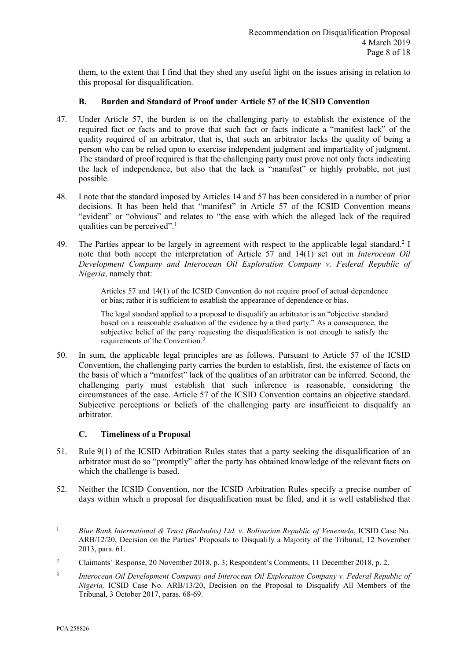them, to the extent that I find that they shed any useful light on the issues arising in relation to this proposal for disqualification.

## **B. Burden and Standard of Proof under Article 57 of the ICSID Convention**

- <span id="page-9-0"></span>47. Under Article 57, the burden is on the challenging party to establish the existence of the required fact or facts and to prove that such fact or facts indicate a "manifest lack" of the quality required of an arbitrator, that is, that such an arbitrator lacks the quality of being a person who can be relied upon to exercise independent judgment and impartiality of judgment. The standard of proof required is that the challenging party must prove not only facts indicating the lack of independence, but also that the lack is "manifest" or highly probable, not just possible.
- 48. I note that the standard imposed by Articles 14 and 57 has been considered in a number of prior decisions. It has been held that "manifest" in Article 57 of the ICSID Convention means "evident" or "obvious" and relates to "the ease with which the alleged lack of the required qualities can be perceived".<sup>1</sup>
- 49. The Parties appear to be largely in agreement with respect to the applicable legal standard.<sup>[2](#page-9-3)</sup> I note that both accept the interpretation of Article 57 and 14(1) set out in *Interocean Oil Development Company and Interocean Oil Exploration Company v. Federal Republic of Nigeria*, namely that:

Articles 57 and 14(1) of the ICSID Convention do not require proof of actual dependence or bias; rather it is sufficient to establish the appearance of dependence or bias.

The legal standard applied to a proposal to disqualify an arbitrator is an "objective standard based on a reasonable evaluation of the evidence by a third party." As a consequence, the subjective belief of the party requesting the disqualification is not enough to satisfy the requirements of the Convention.[3](#page-9-4)

50. In sum, the applicable legal principles are as follows. Pursuant to Article 57 of the ICSID Convention, the challenging party carries the burden to establish, first, the existence of facts on the basis of which a "manifest" lack of the qualities of an arbitrator can be inferred. Second, the challenging party must establish that such inference is reasonable, considering the circumstances of the case. Article 57 of the ICSID Convention contains an objective standard. Subjective perceptions or beliefs of the challenging party are insufficient to disqualify an arbitrator.

# **C. Timeliness of a Proposal**

- <span id="page-9-1"></span>51. Rule 9(1) of the ICSID Arbitration Rules states that a party seeking the disqualification of an arbitrator must do so "promptly" after the party has obtained knowledge of the relevant facts on which the challenge is based.
- 52. Neither the ICSID Convention, nor the ICSID Arbitration Rules specify a precise number of days within which a proposal for disqualification must be filed, and it is well established that

<span id="page-9-2"></span><sup>&</sup>lt;sup>1</sup> *Blue Bank International & Trust (Barbados) Ltd. v. Bolivarian Republic of Venezuela*, ICSID Case No. ARB/12/20, Decision on the Parties' Proposals to Disqualify a Majority of the Tribunal, 12 November 2013, para. 61.

<span id="page-9-3"></span><sup>&</sup>lt;sup>2</sup> Claimants' Response, 20 November 2018, p. 3; Respondent's Comments, 11 December 2018, p. 2.

<span id="page-9-4"></span><sup>3</sup> *Interocean Oil Development Company and Interocean Oil Exploration Company v. Federal Republic of Nigeria,* ICSID Case No. ARB/13/20, Decision on the Proposal to Disqualify All Members of the Tribunal, 3 October 2017, paras. 68-69.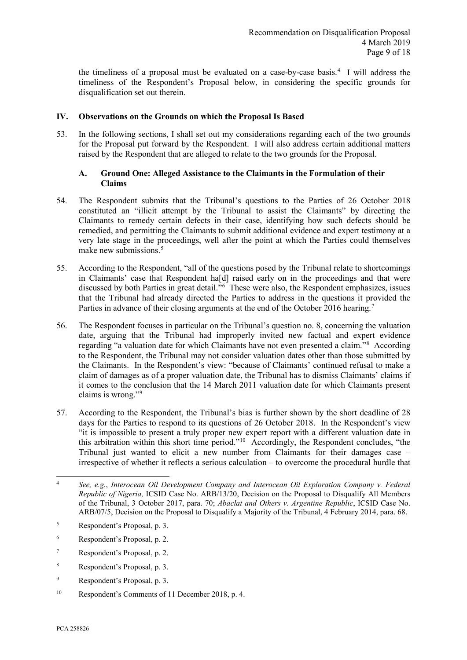the timeliness of a proposal must be evaluated on a case-by-case basis[.4](#page-10-2) I will address the timeliness of the Respondent's Proposal below, in considering the specific grounds for disqualification set out therein.

## <span id="page-10-0"></span>**IV. Observations on the Grounds on which the Proposal Is Based**

53. In the following sections, I shall set out my considerations regarding each of the two grounds for the Proposal put forward by the Respondent. I will also address certain additional matters raised by the Respondent that are alleged to relate to the two grounds for the Proposal.

## <span id="page-10-1"></span>**A. Ground One: Alleged Assistance to the Claimants in the Formulation of their Claims**

- 54. The Respondent submits that the Tribunal's questions to the Parties of 26 October 2018 constituted an "illicit attempt by the Tribunal to assist the Claimants" by directing the Claimants to remedy certain defects in their case, identifying how such defects should be remedied, and permitting the Claimants to submit additional evidence and expert testimony at a very late stage in the proceedings, well after the point at which the Parties could themselves make new submissions.<sup>[5](#page-10-3)</sup>
- 55. According to the Respondent, "all of the questions posed by the Tribunal relate to shortcomings in Claimants' case that Respondent ha[d] raised early on in the proceedings and that were discussed by both Parties in great detail.["6](#page-10-4) These were also, the Respondent emphasizes, issues that the Tribunal had already directed the Parties to address in the questions it provided the Parties in advance of their closing arguments at the end of the October 2016 hearing.<sup>[7](#page-10-5)</sup>
- 56. The Respondent focuses in particular on the Tribunal's question no. 8, concerning the valuation date, arguing that the Tribunal had improperly invited new factual and expert evidence regarding "a valuation date for which Claimants have not even presented a claim."<sup>[8](#page-10-6)</sup> According to the Respondent, the Tribunal may not consider valuation dates other than those submitted by the Claimants. In the Respondent's view: "because of Claimants' continued refusal to make a claim of damages as of a proper valuation date, the Tribunal has to dismiss Claimants' claims if it comes to the conclusion that the 14 March 2011 valuation date for which Claimants present claims is wrong."[9](#page-10-7)
- 57. According to the Respondent, the Tribunal's bias is further shown by the short deadline of 28 days for the Parties to respond to its questions of 26 October 2018. In the Respondent's view "it is impossible to present a truly proper new expert report with a different valuation date in this arbitration within this short time period."[10](#page-10-8) Accordingly, the Respondent concludes, "the Tribunal just wanted to elicit a new number from Claimants for their damages case – irrespective of whether it reflects a serious calculation – to overcome the procedural hurdle that

- <span id="page-10-4"></span><sup>6</sup> Respondent's Proposal, p. 2.
- <span id="page-10-5"></span><sup>7</sup> Respondent's Proposal, p. 2.
- <span id="page-10-6"></span><sup>8</sup> Respondent's Proposal, p. 3.
- <span id="page-10-7"></span><sup>9</sup> Respondent's Proposal, p. 3.

<span id="page-10-2"></span><sup>4</sup> *See, e.g.*, *Interocean Oil Development Company and Interocean Oil Exploration Company v. Federal Republic of Nigeria,* ICSID Case No. ARB/13/20, Decision on the Proposal to Disqualify All Members of the Tribunal, 3 October 2017, para. 70; *Abaclat and Others v. Argentine Republic*, ICSID Case No. ARB/07/5, Decision on the Proposal to Disqualify a Majority of the Tribunal, 4 February 2014, para. 68.

<span id="page-10-3"></span><sup>5</sup> Respondent's Proposal, p. 3.

<span id="page-10-8"></span><sup>10</sup> Respondent's Comments of 11 December 2018, p. 4.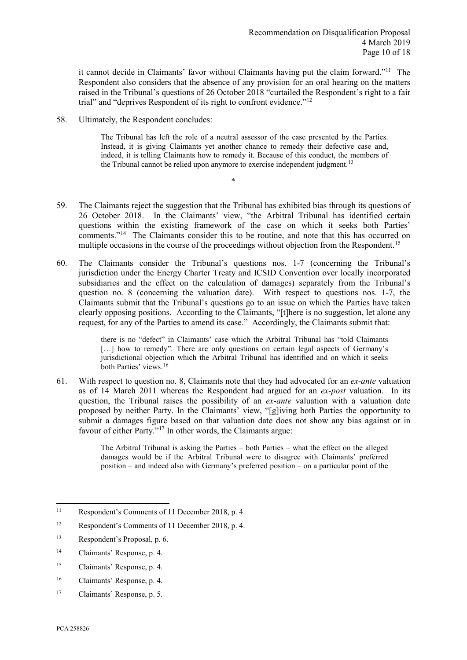it cannot decide in Claimants' favor without Claimants having put the claim forward."[11](#page-11-0) The Respondent also considers that the absence of any provision for an oral hearing on the matters raised in the Tribunal's questions of 26 October 2018 "curtailed the Respondent's right to a fair trial" and "deprives Respondent of its right to confront evidence."[12](#page-11-1)

58. Ultimately, the Respondent concludes:

The Tribunal has left the role of a neutral assessor of the case presented by the Parties. Instead, it is giving Claimants yet another chance to remedy their defective case and, indeed, it is telling Claimants how to remedy it. Because of this conduct, the members of the Tribunal cannot be relied upon anymore to exercise independent judgment.<sup>[13](#page-11-2)</sup>

59. The Claimants reject the suggestion that the Tribunal has exhibited bias through its questions of 26 October 2018. In the Claimants' view, "the Arbitral Tribunal has identified certain questions within the existing framework of the case on which it seeks both Parties' comments."[14](#page-11-3) The Claimants consider this to be routine, and note that this has occurred on multiple occasions in the course of the proceedings without objection from the Respondent.<sup>[15](#page-11-4)</sup>

\*

60. The Claimants consider the Tribunal's questions nos. 1-7 (concerning the Tribunal's jurisdiction under the Energy Charter Treaty and ICSID Convention over locally incorporated subsidiaries and the effect on the calculation of damages) separately from the Tribunal's question no. 8 (concerning the valuation date). With respect to questions nos. 1-7, the Claimants submit that the Tribunal's questions go to an issue on which the Parties have taken clearly opposing positions. According to the Claimants, "[t]here is no suggestion, let alone any request, for any of the Parties to amend its case." Accordingly, the Claimants submit that:

> there is no "defect" in Claimants' case which the Arbitral Tribunal has "told Claimants [...] how to remedy". There are only questions on certain legal aspects of Germany's jurisdictional objection which the Arbitral Tribunal has identified and on which it seeks both Parties' views.[16](#page-11-5)

61. With respect to question no. 8, Claimants note that they had advocated for an *ex-ante* valuation as of 14 March 2011 whereas the Respondent had argued for an *ex-post* valuation. In its question, the Tribunal raises the possibility of an *ex-ante* valuation with a valuation date proposed by neither Party. In the Claimants' view, "[g]iving both Parties the opportunity to submit a damages figure based on that valuation date does not show any bias against or in favour of either Party."<sup>17</sup> In other words, the Claimants argue:

> The Arbitral Tribunal is asking the Parties – both Parties – what the effect on the alleged damages would be if the Arbitral Tribunal were to disagree with Claimants' preferred position – and indeed also with Germany's preferred position – on a particular point of the

<span id="page-11-0"></span><sup>11</sup> Respondent's Comments of 11 December 2018, p. 4.

<span id="page-11-1"></span><sup>12</sup> Respondent's Comments of 11 December 2018, p. 4.

<span id="page-11-2"></span><sup>13</sup> Respondent's Proposal, p. 6.

<span id="page-11-3"></span><sup>14</sup> Claimants' Response, p. 4.

<span id="page-11-4"></span><sup>15</sup> Claimants' Response, p. 4.

<span id="page-11-5"></span><sup>16</sup> Claimants' Response, p. 4.

<span id="page-11-6"></span><sup>17</sup> Claimants' Response, p. 5.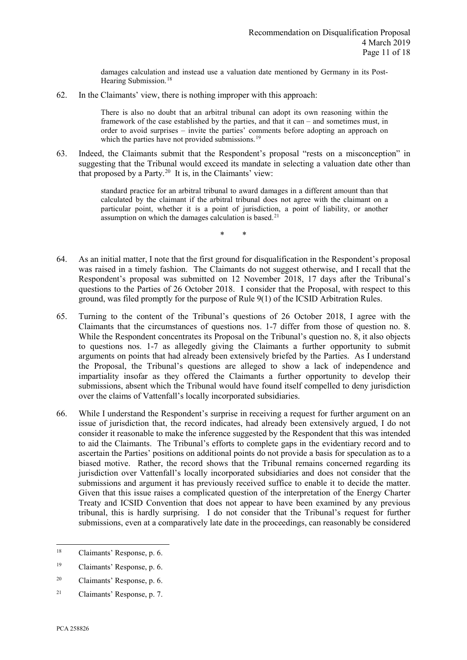damages calculation and instead use a valuation date mentioned by Germany in its Post-Hearing Submission.<sup>[18](#page-12-0)</sup>

62. In the Claimants' view, there is nothing improper with this approach:

There is also no doubt that an arbitral tribunal can adopt its own reasoning within the framework of the case established by the parties, and that it can – and sometimes must, in order to avoid surprises – invite the parties' comments before adopting an approach on which the parties have not provided submissions.<sup>[19](#page-12-1)</sup>

63. Indeed, the Claimants submit that the Respondent's proposal "rests on a misconception" in suggesting that the Tribunal would exceed its mandate in selecting a valuation date other than that proposed by a Party. $20$  It is, in the Claimants' view:

> standard practice for an arbitral tribunal to award damages in a different amount than that calculated by the claimant if the arbitral tribunal does not agree with the claimant on a particular point, whether it is a point of jurisdiction, a point of liability, or another assumption on which the damages calculation is based.<sup>[21](#page-12-3)</sup>

> > \* \*

- 64. As an initial matter, I note that the first ground for disqualification in the Respondent's proposal was raised in a timely fashion. The Claimants do not suggest otherwise, and I recall that the Respondent's proposal was submitted on 12 November 2018, 17 days after the Tribunal's questions to the Parties of 26 October 2018. I consider that the Proposal, with respect to this ground, was filed promptly for the purpose of Rule 9(1) of the ICSID Arbitration Rules.
- 65. Turning to the content of the Tribunal's questions of 26 October 2018, I agree with the Claimants that the circumstances of questions nos. 1-7 differ from those of question no. 8. While the Respondent concentrates its Proposal on the Tribunal's question no. 8, it also objects to questions nos. 1-7 as allegedly giving the Claimants a further opportunity to submit arguments on points that had already been extensively briefed by the Parties. As I understand the Proposal, the Tribunal's questions are alleged to show a lack of independence and impartiality insofar as they offered the Claimants a further opportunity to develop their submissions, absent which the Tribunal would have found itself compelled to deny jurisdiction over the claims of Vattenfall's locally incorporated subsidiaries.
- 66. While I understand the Respondent's surprise in receiving a request for further argument on an issue of jurisdiction that, the record indicates, had already been extensively argued, I do not consider it reasonable to make the inference suggested by the Respondent that this was intended to aid the Claimants. The Tribunal's efforts to complete gaps in the evidentiary record and to ascertain the Parties' positions on additional points do not provide a basis for speculation as to a biased motive. Rather, the record shows that the Tribunal remains concerned regarding its jurisdiction over Vattenfall's locally incorporated subsidiaries and does not consider that the submissions and argument it has previously received suffice to enable it to decide the matter. Given that this issue raises a complicated question of the interpretation of the Energy Charter Treaty and ICSID Convention that does not appear to have been examined by any previous tribunal, this is hardly surprising. I do not consider that the Tribunal's request for further submissions, even at a comparatively late date in the proceedings, can reasonably be considered

<span id="page-12-0"></span><sup>18</sup> Claimants' Response, p. 6.

<span id="page-12-1"></span><sup>19</sup> Claimants' Response, p. 6.

<span id="page-12-2"></span><sup>20</sup> Claimants' Response, p. 6.

<span id="page-12-3"></span><sup>21</sup> Claimants' Response, p. 7.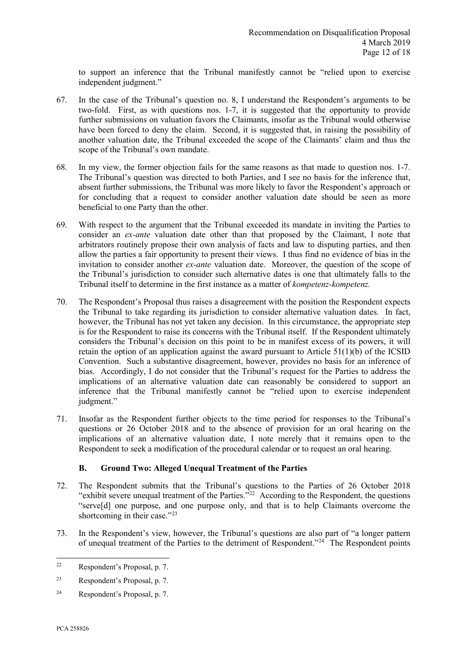to support an inference that the Tribunal manifestly cannot be "relied upon to exercise independent judgment."

- 67. In the case of the Tribunal's question no. 8, I understand the Respondent's arguments to be two-fold. First, as with questions nos. 1-7, it is suggested that the opportunity to provide further submissions on valuation favors the Claimants, insofar as the Tribunal would otherwise have been forced to deny the claim. Second, it is suggested that, in raising the possibility of another valuation date, the Tribunal exceeded the scope of the Claimants' claim and thus the scope of the Tribunal's own mandate.
- 68. In my view, the former objection fails for the same reasons as that made to question nos. 1-7. The Tribunal's question was directed to both Parties, and I see no basis for the inference that, absent further submissions, the Tribunal was more likely to favor the Respondent's approach or for concluding that a request to consider another valuation date should be seen as more beneficial to one Party than the other.
- 69. With respect to the argument that the Tribunal exceeded its mandate in inviting the Parties to consider an *ex-ante* valuation date other than that proposed by the Claimant, I note that arbitrators routinely propose their own analysis of facts and law to disputing parties, and then allow the parties a fair opportunity to present their views. I thus find no evidence of bias in the invitation to consider another *ex-ante* valuation date. Moreover, the question of the scope of the Tribunal's jurisdiction to consider such alternative dates is one that ultimately falls to the Tribunal itself to determine in the first instance as a matter of *kompetenz-kompetenz.*
- 70. The Respondent's Proposal thus raises a disagreement with the position the Respondent expects the Tribunal to take regarding its jurisdiction to consider alternative valuation dates. In fact, however, the Tribunal has not yet taken any decision. In this circumstance, the appropriate step is for the Respondent to raise its concerns with the Tribunal itself. If the Respondent ultimately considers the Tribunal's decision on this point to be in manifest excess of its powers, it will retain the option of an application against the award pursuant to Article  $51(1)(b)$  of the ICSID Convention. Such a substantive disagreement, however, provides no basis for an inference of bias. Accordingly, I do not consider that the Tribunal's request for the Parties to address the implications of an alternative valuation date can reasonably be considered to support an inference that the Tribunal manifestly cannot be "relied upon to exercise independent judgment."
- 71. Insofar as the Respondent further objects to the time period for responses to the Tribunal's questions or 26 October 2018 and to the absence of provision for an oral hearing on the implications of an alternative valuation date, I note merely that it remains open to the Respondent to seek a modification of the procedural calendar or to request an oral hearing.

# **B. Ground Two: Alleged Unequal Treatment of the Parties**

- <span id="page-13-0"></span>72. The Respondent submits that the Tribunal's questions to the Parties of 26 October 2018 "exhibit severe unequal treatment of the Parties." $^{22}$  $^{22}$  $^{22}$  According to the Respondent, the questions "serve[d] one purpose, and one purpose only, and that is to help Claimants overcome the shortcoming in their case."<sup>[23](#page-13-2)</sup>
- 73. In the Respondent's view, however, the Tribunal's questions are also part of "a longer pattern of unequal treatment of the Parties to the detriment of Respondent."[24](#page-13-3) The Respondent points

<span id="page-13-1"></span><sup>22</sup> Respondent's Proposal, p. 7.

<span id="page-13-2"></span><sup>23</sup> Respondent's Proposal, p. 7.

<span id="page-13-3"></span><sup>24</sup> Respondent's Proposal, p. 7.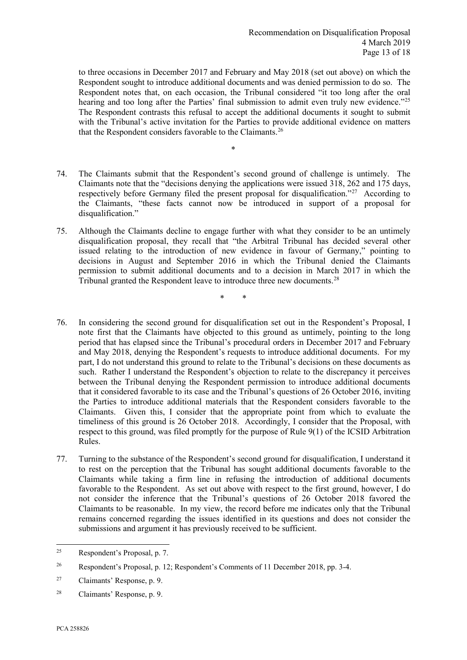to three occasions in December 2017 and February and May 2018 (set out above) on which the Respondent sought to introduce additional documents and was denied permission to do so. The Respondent notes that, on each occasion, the Tribunal considered "it too long after the oral hearing and too long after the Parties' final submission to admit even truly new evidence."<sup>25</sup> The Respondent contrasts this refusal to accept the additional documents it sought to submit with the Tribunal's active invitation for the Parties to provide additional evidence on matters that the Respondent considers favorable to the Claimants[.26](#page-14-1)

- \*
- 74. The Claimants submit that the Respondent's second ground of challenge is untimely. The Claimants note that the "decisions denying the applications were issued 318, 262 and 175 days, respectively before Germany filed the present proposal for disqualification."[27](#page-14-2) According to the Claimants, "these facts cannot now be introduced in support of a proposal for disqualification."
- 75. Although the Claimants decline to engage further with what they consider to be an untimely disqualification proposal, they recall that "the Arbitral Tribunal has decided several other issued relating to the introduction of new evidence in favour of Germany," pointing to decisions in August and September 2016 in which the Tribunal denied the Claimants permission to submit additional documents and to a decision in March 2017 in which the Tribunal granted the Respondent leave to introduce three new documents.[28](#page-14-3)

\* \*

- 76. In considering the second ground for disqualification set out in the Respondent's Proposal, I note first that the Claimants have objected to this ground as untimely, pointing to the long period that has elapsed since the Tribunal's procedural orders in December 2017 and February and May 2018, denying the Respondent's requests to introduce additional documents. For my part, I do not understand this ground to relate to the Tribunal's decisions on these documents as such. Rather I understand the Respondent's objection to relate to the discrepancy it perceives between the Tribunal denying the Respondent permission to introduce additional documents that it considered favorable to its case and the Tribunal's questions of 26 October 2016, inviting the Parties to introduce additional materials that the Respondent considers favorable to the Claimants. Given this, I consider that the appropriate point from which to evaluate the timeliness of this ground is 26 October 2018. Accordingly, I consider that the Proposal, with respect to this ground, was filed promptly for the purpose of Rule 9(1) of the ICSID Arbitration Rules.
- 77. Turning to the substance of the Respondent's second ground for disqualification, I understand it to rest on the perception that the Tribunal has sought additional documents favorable to the Claimants while taking a firm line in refusing the introduction of additional documents favorable to the Respondent. As set out above with respect to the first ground, however, I do not consider the inference that the Tribunal's questions of 26 October 2018 favored the Claimants to be reasonable. In my view, the record before me indicates only that the Tribunal remains concerned regarding the issues identified in its questions and does not consider the submissions and argument it has previously received to be sufficient.

<span id="page-14-0"></span><sup>25</sup> Respondent's Proposal, p. 7.

<span id="page-14-1"></span><sup>26</sup> Respondent's Proposal, p. 12; Respondent's Comments of 11 December 2018, pp. 3-4.

<span id="page-14-2"></span><sup>27</sup> Claimants' Response, p. 9.

<span id="page-14-3"></span><sup>28</sup> Claimants' Response, p. 9.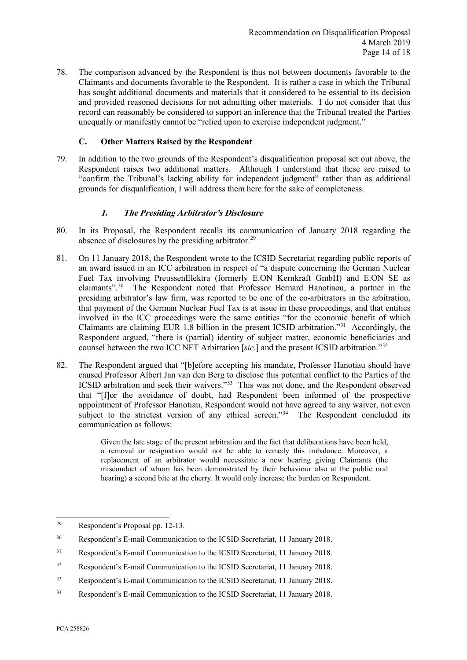78. The comparison advanced by the Respondent is thus not between documents favorable to the Claimants and documents favorable to the Respondent. It is rather a case in which the Tribunal has sought additional documents and materials that it considered to be essential to its decision and provided reasoned decisions for not admitting other materials. I do not consider that this record can reasonably be considered to support an inference that the Tribunal treated the Parties unequally or manifestly cannot be "relied upon to exercise independent judgment."

## **C. Other Matters Raised by the Respondent**

<span id="page-15-0"></span>79. In addition to the two grounds of the Respondent's disqualification proposal set out above, the Respondent raises two additional matters. Although I understand that these are raised to "confirm the Tribunal's lacking ability for independent judgment" rather than as additional grounds for disqualification, I will address them here for the sake of completeness.

## **1. The Presiding Arbitrator's Disclosure**

- <span id="page-15-1"></span>80. In its Proposal, the Respondent recalls its communication of January 2018 regarding the absence of disclosures by the presiding arbitrator.<sup>[29](#page-15-2)</sup>
- 81. On 11 January 2018, the Respondent wrote to the ICSID Secretariat regarding public reports of an award issued in an ICC arbitration in respect of "a dispute concerning the German Nuclear Fuel Tax involving PreussenElektra (formerly E.ON Kernkraft GmbH) and E.ON SE as claimants".[30](#page-15-3) The Respondent noted that Professor Bernard Hanotiaou, a partner in the presiding arbitrator's law firm, was reported to be one of the co-arbitrators in the arbitration, that payment of the German Nuclear Fuel Tax is at issue in these proceedings, and that entities involved in the ICC proceedings were the same entities "for the economic benefit of which Claimants are claiming EUR 1.8 billion in the present ICSID arbitration."[31](#page-15-4) Accordingly, the Respondent argued, "there is (partial) identity of subject matter, economic beneficiaries and counsel between the two ICC NFT Arbitration [*sic.*] and the present ICSID arbitration."[32](#page-15-5)
- 82. The Respondent argued that "[b]efore accepting his mandate, Professor Hanotiau should have caused Professor Albert Jan van den Berg to disclose this potential conflict to the Parties of the ICSID arbitration and seek their waivers."[33](#page-15-6) This was not done, and the Respondent observed that "[f]or the avoidance of doubt, had Respondent been informed of the prospective appointment of Professor Hanotiau, Respondent would not have agreed to any waiver, not even subject to the strictest version of any ethical screen."<sup>34</sup> The Respondent concluded its communication as follows:

Given the late stage of the present arbitration and the fact that deliberations have been held, a removal or resignation would not be able to remedy this imbalance. Moreover, a replacement of an arbitrator would necessitate a new hearing giving Claimants (the misconduct of whom has been demonstrated by their behaviour also at the public oral hearing) a second bite at the cherry. It would only increase the burden on Respondent.

<span id="page-15-2"></span><sup>29</sup> Respondent's Proposal pp. 12-13.

<span id="page-15-3"></span><sup>30</sup> Respondent's E-mail Communication to the ICSID Secretariat, 11 January 2018.

<span id="page-15-4"></span><sup>31</sup> Respondent's E-mail Communication to the ICSID Secretariat, 11 January 2018.

<span id="page-15-5"></span><sup>32</sup> Respondent's E-mail Communication to the ICSID Secretariat, 11 January 2018.

<span id="page-15-6"></span><sup>33</sup> Respondent's E-mail Communication to the ICSID Secretariat, 11 January 2018.

<span id="page-15-7"></span><sup>34</sup> Respondent's E-mail Communication to the ICSID Secretariat, 11 January 2018.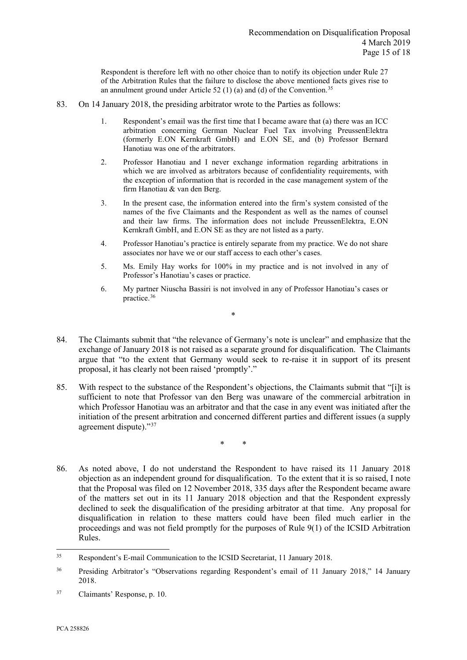Respondent is therefore left with no other choice than to notify its objection under Rule 27 of the Arbitration Rules that the failure to disclose the above mentioned facts gives rise to an annulment ground under Article 52 (1) (a) and (d) of the Convention.<sup>[35](#page-16-0)</sup>

- 83. On 14 January 2018, the presiding arbitrator wrote to the Parties as follows:
	- 1. Respondent's email was the first time that I became aware that (a) there was an ICC arbitration concerning German Nuclear Fuel Tax involving PreussenElektra (formerly E.ON Kernkraft GmbH) and E.ON SE, and (b) Professor Bernard Hanotiau was one of the arbitrators.
	- 2. Professor Hanotiau and I never exchange information regarding arbitrations in which we are involved as arbitrators because of confidentiality requirements, with the exception of information that is recorded in the case management system of the firm Hanotiau & van den Berg.
	- 3. In the present case, the information entered into the firm's system consisted of the names of the five Claimants and the Respondent as well as the names of counsel and their law firms. The information does not include PreussenElektra, E.ON Kernkraft GmbH, and E.ON SE as they are not listed as a party.
	- 4. Professor Hanotiau's practice is entirely separate from my practice. We do not share associates nor have we or our staff access to each other's cases.
	- 5. Ms. Emily Hay works for 100% in my practice and is not involved in any of Professor's Hanotiau's cases or practice.
	- 6. My partner Niuscha Bassiri is not involved in any of Professor Hanotiau's cases or practice.[36](#page-16-1)
- 84. The Claimants submit that "the relevance of Germany's note is unclear" and emphasize that the exchange of January 2018 is not raised as a separate ground for disqualification. The Claimants argue that "to the extent that Germany would seek to re-raise it in support of its present proposal, it has clearly not been raised 'promptly'."

\*

85. With respect to the substance of the Respondent's objections, the Claimants submit that "[i]t is sufficient to note that Professor van den Berg was unaware of the commercial arbitration in which Professor Hanotiau was an arbitrator and that the case in any event was initiated after the initiation of the present arbitration and concerned different parties and different issues (a supply agreement dispute).["37](#page-16-2)

\* \*

86. As noted above, I do not understand the Respondent to have raised its 11 January 2018 objection as an independent ground for disqualification. To the extent that it is so raised, I note that the Proposal was filed on 12 November 2018, 335 days after the Respondent became aware of the matters set out in its 11 January 2018 objection and that the Respondent expressly declined to seek the disqualification of the presiding arbitrator at that time. Any proposal for disqualification in relation to these matters could have been filed much earlier in the proceedings and was not field promptly for the purposes of Rule 9(1) of the ICSID Arbitration Rules.

<span id="page-16-0"></span><sup>35</sup> Respondent's E-mail Communication to the ICSID Secretariat, 11 January 2018.

<span id="page-16-1"></span><sup>&</sup>lt;sup>36</sup> Presiding Arbitrator's "Observations regarding Respondent's email of 11 January 2018," 14 January 2018.

<span id="page-16-2"></span><sup>37</sup> Claimants' Response, p. 10.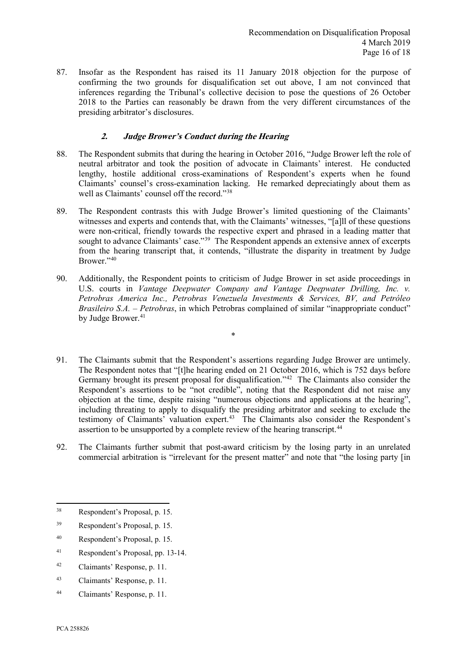87. Insofar as the Respondent has raised its 11 January 2018 objection for the purpose of confirming the two grounds for disqualification set out above, I am not convinced that inferences regarding the Tribunal's collective decision to pose the questions of 26 October 2018 to the Parties can reasonably be drawn from the very different circumstances of the presiding arbitrator's disclosures.

# **2. Judge Brower's Conduct during the Hearing**

- <span id="page-17-0"></span>88. The Respondent submits that during the hearing in October 2016, "Judge Brower left the role of neutral arbitrator and took the position of advocate in Claimants' interest. He conducted lengthy, hostile additional cross-examinations of Respondent's experts when he found Claimants' counsel's cross-examination lacking. He remarked depreciatingly about them as well as Claimants' counsel off the record."[38](#page-17-1)
- 89. The Respondent contrasts this with Judge Brower's limited questioning of the Claimants' witnesses and experts and contends that, with the Claimants' witnesses, "[a]ll of these questions were non-critical, friendly towards the respective expert and phrased in a leading matter that sought to advance Claimants' case."<sup>[39](#page-17-2)</sup> The Respondent appends an extensive annex of excerpts from the hearing transcript that, it contends, "illustrate the disparity in treatment by Judge Brower.["40](#page-17-3)
- 90. Additionally, the Respondent points to criticism of Judge Brower in set aside proceedings in U.S. courts in *Vantage Deepwater Company and Vantage Deepwater Drilling, Inc. v. Petrobras America Inc., Petrobras Venezuela Investments & Services, BV, and Petróleo Brasileiro S.A. – Petrobras*, in which Petrobras complained of similar "inappropriate conduct" by Judge Brower.<sup>[41](#page-17-4)</sup>

\*

- 91. The Claimants submit that the Respondent's assertions regarding Judge Brower are untimely. The Respondent notes that "[t]he hearing ended on 21 October 2016, which is 752 days before Germany brought its present proposal for disqualification."<sup>[42](#page-17-5)</sup> The Claimants also consider the Respondent's assertions to be "not credible", noting that the Respondent did not raise any objection at the time, despite raising "numerous objections and applications at the hearing", including threating to apply to disqualify the presiding arbitrator and seeking to exclude the testimony of Claimants' valuation expert.[43](#page-17-6) The Claimants also consider the Respondent's assertion to be unsupported by a complete review of the hearing transcript.<sup>[44](#page-17-7)</sup>
- 92. The Claimants further submit that post-award criticism by the losing party in an unrelated commercial arbitration is "irrelevant for the present matter" and note that "the losing party [in

- <span id="page-17-3"></span><sup>40</sup> Respondent's Proposal, p. 15.
- <span id="page-17-4"></span><sup>41</sup> Respondent's Proposal, pp. 13-14.
- <span id="page-17-5"></span><sup>42</sup> Claimants' Response, p. 11.
- <span id="page-17-6"></span><sup>43</sup> Claimants' Response, p. 11.
- <span id="page-17-7"></span><sup>44</sup> Claimants' Response, p. 11.

<span id="page-17-1"></span><sup>38</sup> Respondent's Proposal, p. 15.

<span id="page-17-2"></span><sup>39</sup> Respondent's Proposal, p. 15.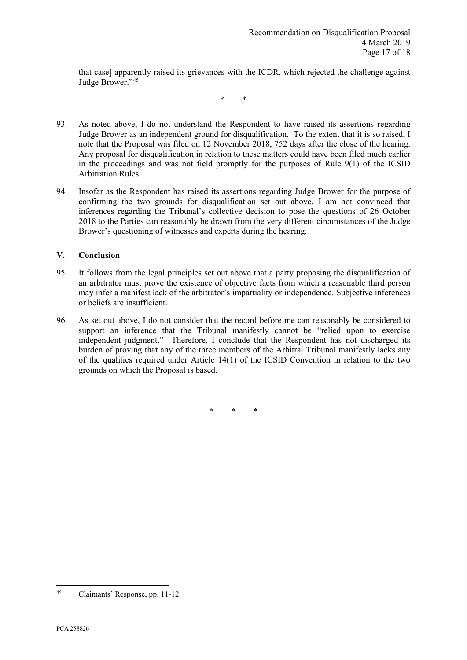that case] apparently raised its grievances with the ICDR, which rejected the challenge against Judge Brower."[45](#page-18-1)

\* \*

- 93. As noted above, I do not understand the Respondent to have raised its assertions regarding Judge Brower as an independent ground for disqualification. To the extent that it is so raised, I note that the Proposal was filed on 12 November 2018, 752 days after the close of the hearing. Any proposal for disqualification in relation to these matters could have been filed much earlier in the proceedings and was not field promptly for the purposes of Rule 9(1) of the ICSID Arbitration Rules.
- 94. Insofar as the Respondent has raised its assertions regarding Judge Brower for the purpose of confirming the two grounds for disqualification set out above, I am not convinced that inferences regarding the Tribunal's collective decision to pose the questions of 26 October 2018 to the Parties can reasonably be drawn from the very different circumstances of the Judge Brower's questioning of witnesses and experts during the hearing.

## <span id="page-18-0"></span>**V. Conclusion**

- 95. It follows from the legal principles set out above that a party proposing the disqualification of an arbitrator must prove the existence of objective facts from which a reasonable third person may infer a manifest lack of the arbitrator's impartiality or independence. Subjective inferences or beliefs are insufficient.
- 96. As set out above, I do not consider that the record before me can reasonably be considered to support an inference that the Tribunal manifestly cannot be "relied upon to exercise independent judgment." Therefore, I conclude that the Respondent has not discharged its burden of proving that any of the three members of the Arbitral Tribunal manifestly lacks any of the qualities required under Article 14(1) of the ICSID Convention in relation to the two grounds on which the Proposal is based.

\* \* \*

<span id="page-18-1"></span><sup>45</sup> Claimants' Response, pp. 11-12.